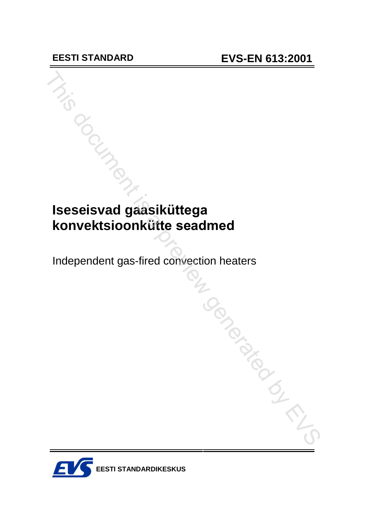# **Iseseisvad gaasiküttega konvektsioonkütte** seadmed

Independent gas-fired convection heaters

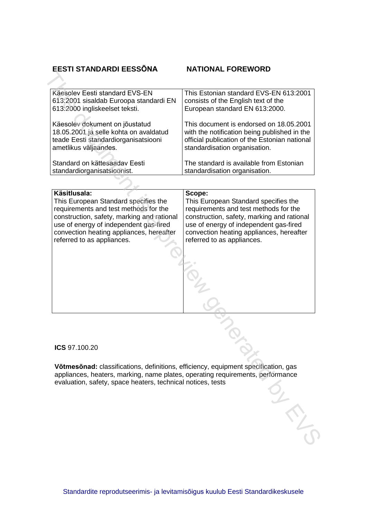### **EESTI STANDARDI EESS'NA NATIONAL FOREWORD**

| Käsitlusala:                           | Scope:                                        |
|----------------------------------------|-----------------------------------------------|
|                                        |                                               |
| Standard on kättesaadav Eesti          | The standard is available from Estonian       |
| standardiorganisatsioonist.            | standardisation organisation.                 |
| teade Eesti standardiorganisatsiooni   | official publication of the Estonian national |
| ametlikus väljaandes.                  | standardisation organisation.                 |
| Käesolev dokument on jõustatud         | This document is endorsed on 18.05.2001       |
| 18.05.2001 ja selle kohta on avaldatud | with the notification being published in the  |
| 613:2000 ingliskeelset teksti.         | European standard EN 613:2000.                |
| Käesolev Eesti standard EVS-EN         | This Estonian standard EVS-EN 613:2001        |
| 613:2001 sisaldab Euroopa standardi EN | consists of the English text of the           |

| Käesolev Eesti standard EVS-EN<br>613:2001 sisaldab Euroopa standardi EN<br>613.2000 ingliskeelset teksti.                                                                                                                                                      | This Estonian standard EVS-EN 613:2001<br>consists of the English text of the<br>European standard EN 613:2000.                                                                                                                                           |
|-----------------------------------------------------------------------------------------------------------------------------------------------------------------------------------------------------------------------------------------------------------------|-----------------------------------------------------------------------------------------------------------------------------------------------------------------------------------------------------------------------------------------------------------|
| Käesolev dokument on jõustatud<br>18.05.2001 ja selle kohta on avaldatud<br>teade Eesti standardiorganisatsiooni<br>ametlikus väljaandes.                                                                                                                       | This document is endorsed on 18.05.2001<br>with the notification being published in the<br>official publication of the Estonian national<br>standardisation organisation.                                                                                 |
| Standard on kättesaadav Eesti<br>standardiorganisatsioonist.                                                                                                                                                                                                    | The standard is available from Estonian<br>standardisation organisation.                                                                                                                                                                                  |
|                                                                                                                                                                                                                                                                 |                                                                                                                                                                                                                                                           |
| Käsitlusala:<br>This European Standard specifies the<br>requirements and test methods for the<br>construction, safety, marking and rational<br>use of energy of independent gas-fired<br>convection heating appliances, hereafter<br>referred to as appliances. | Scope:<br>This European Standard specifies the<br>requirements and test methods for the<br>construction, safety, marking and rational<br>use of energy of independent gas-fired<br>convection heating appliances, hereafter<br>referred to as appliances. |
| ICS 97.100.20                                                                                                                                                                                                                                                   |                                                                                                                                                                                                                                                           |
| Võtmesõnad: classifications, definitions, efficiency, equipment specification, gas<br>appliances, heaters, marking, name plates, operating requirements, performance<br>evaluation, safety, space heaters, technical notices, tests                             |                                                                                                                                                                                                                                                           |
|                                                                                                                                                                                                                                                                 |                                                                                                                                                                                                                                                           |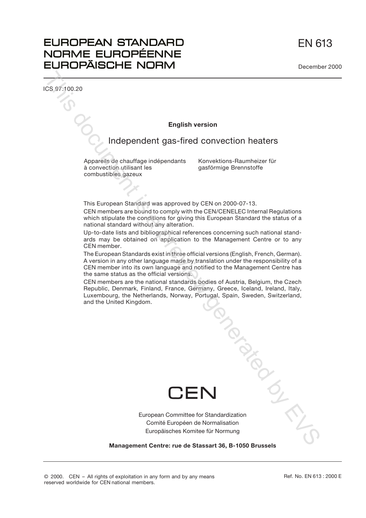EN 613

## **EUROPEAN STANDARD** NORME EUROPÉENNE **EUROPÄISCHE NORM**

ICS 97.100.20

Descriptors:

#### **English version**

### Independent gas-fired convection heaters

Appareils de chauffage indépendants à convection utilisant les

Konvektions-Raumheizer für gasförmige Brennstoffe

This European Standard was approved by CEN on 2000-07-13.

CEN members are bound to comply with the CEN/CENELEC Internal Regulations which stipulate the conditions for giving this European Standard the status of a national standard without any alteration.

Up-to-date lists and bibliographical references concerning such national standards may be obtained on application to the Management Centre or to any CEN member.

The European Standards exist in three official versions (English, French, German). A version in any other language made by translation under the responsibility of a CEN member into its own language and notified to the Management Centre has the same status as the official versions.

CEN members are the national standards bodies of Austria, Belgium, the Czech Republic, Denmark, Finland, France, Germany, Greece, Iceland, Ireland, Italy, Luxembourg, the Netherlands, Norway, Portugal, Spain, Sweden, Switzerland, and the United Kingdom. combustibles gazeux<br>
This European Standard was approved by CEN on 2000-07-13.<br>
CEN members are bound to comply with the CEN/CENELEC Internal Regulations<br>
which stipulate the conditions for giving this European Standard th



European Committee for Standardization Comité Européen de Normalisation Europäisches Komitee für Normung

**Management Centre: rue de Stassart 36, B-1050 Brussels**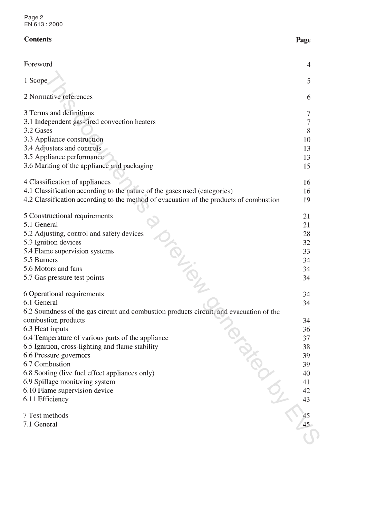Page 2 EN 613 : 2000

### **Contents**

| Foreword                                                                                | 4  |
|-----------------------------------------------------------------------------------------|----|
| 1 Scope                                                                                 | 5  |
| 2 Normative references                                                                  | 6  |
|                                                                                         |    |
| 3 Terms and definitions                                                                 |    |
| 3.1 Independent gas-fired convection heaters                                            | 7  |
| 3.2 Gases                                                                               | 8  |
| 3.3 Appliance construction                                                              | 10 |
| 3.4 Adjusters and controls                                                              | 13 |
| 3.5 Appliance performance                                                               | 13 |
| 3.6 Marking of the appliance and packaging                                              | 15 |
| 4 Classification of appliances                                                          | 16 |
| 4.1 Classification according to the nature of the gases used (categories)               | 16 |
| 4.2 Classification according to the method of evacuation of the products of combustion  | 19 |
|                                                                                         |    |
| 5 Constructional requirements                                                           | 21 |
| 5.1 General                                                                             | 21 |
| 5.2 Adjusting, control and safety devices                                               | 28 |
| 5.3 Ignition devices                                                                    | 32 |
| 5.4 Flame supervision systems                                                           | 33 |
| 5.5 Burners                                                                             | 34 |
| 5.6 Motors and fans                                                                     | 34 |
| 5.7 Gas pressure test points                                                            | 34 |
| 6 Operational requirements                                                              | 34 |
| 6.1 General                                                                             | 34 |
| 6.2 Soundness of the gas circuit and combustion products circuit, and evacuation of the |    |
| combustion products                                                                     | 34 |
| 6.3 Heat inputs                                                                         | 36 |
| 6.4 Temperature of various parts of the appliance                                       | 37 |
| 6.5 Ignition, cross-lighting and flame stability                                        | 38 |
| 6.6 Pressure governors                                                                  | 39 |
| 6.7 Combustion                                                                          | 39 |
| 6.8 Sooting (live fuel effect appliances only)                                          | 40 |
| 6.9 Spillage monitoring system                                                          | 41 |
| 6.10 Flame supervision device                                                           | 42 |
| PIDSIDED<br>6.11 Efficiency                                                             | 43 |
| 7 Test methods                                                                          |    |
| 7.1 General                                                                             |    |
|                                                                                         |    |
|                                                                                         |    |

Page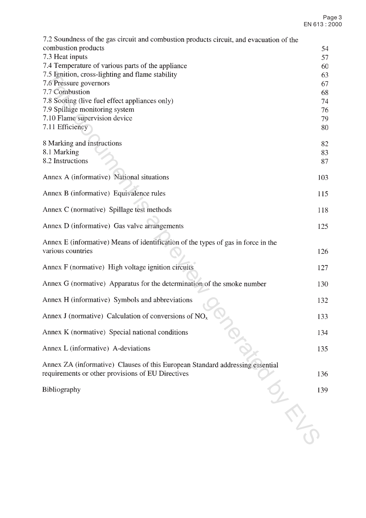| 7.2 Soundness of the gas circuit and combustion products circuit, and evacuation of the                                            |          |
|------------------------------------------------------------------------------------------------------------------------------------|----------|
| combustion products                                                                                                                | 54       |
| 7.3 Heat inputs<br>7.4 Temperature of various parts of the appliance                                                               | 57       |
| 7.5 Ignition, cross-lighting and flame stability                                                                                   | 60<br>63 |
| 7.6 Pressure governors                                                                                                             | 67       |
| 7.7 Combustion                                                                                                                     | 68       |
| 7.8 Sooting (live fuel effect appliances only)                                                                                     | 74       |
| 7.9 Spillage monitoring system<br>7.10 Flame supervision device                                                                    | 76<br>79 |
| 7.11 Efficiency                                                                                                                    | 80       |
|                                                                                                                                    |          |
| 8 Marking and instructions<br>8.1 Marking                                                                                          | 82<br>83 |
| 8.2 Instructions                                                                                                                   | 87       |
| Annex A (informative) National situations                                                                                          | 103      |
| Annex B (informative) Equivalence rules                                                                                            | 115      |
| Annex C (normative) Spillage test methods                                                                                          | 118      |
| Annex D (informative) Gas valve arrangements                                                                                       | 125      |
| Annex E (informative) Means of identification of the types of gas in force in the                                                  |          |
| various countries                                                                                                                  | 126      |
| Annex F (normative) High voltage ignition circuits                                                                                 | 127      |
| Annex G (normative) Apparatus for the determination of the smoke number                                                            | 130      |
| Annex H (informative) Symbols and abbreviations                                                                                    | 132      |
| Annex J (normative) Calculation of conversions of $NOx$                                                                            | 133      |
| Annex K (normative) Special national conditions                                                                                    | 134      |
| Annex L (informative) A-deviations                                                                                                 | 135      |
| Annex ZA (informative) Clauses of this European Standard addressing essential<br>requirements or other provisions of EU Directives | 136      |
| Bibliography                                                                                                                       | 139      |
|                                                                                                                                    |          |
|                                                                                                                                    |          |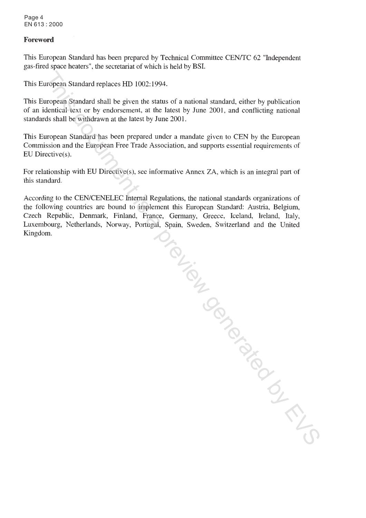Page 4 EN 613 : 2000

#### **Foreword**

This European Standard has been prepared by Technical Committee CEN/TC 62 "Independent gas-fired space heaters", the secretariat of which is held by BSI.

This European Standard sephaces HD 1002:1994.<br>
This European Spandard shall te given the sausas of a national standard, cities by publication<br>
of an identical ident or by one<br>document at the language of a mature in the cas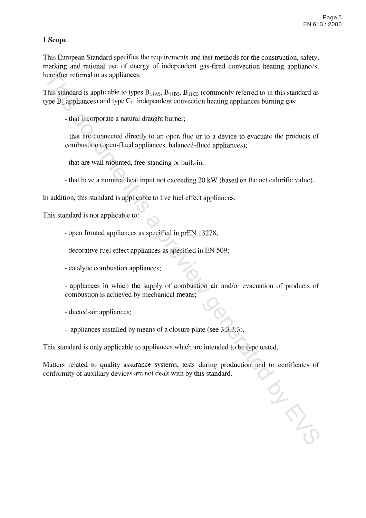### 1 Scope

This European Standard specifies the requirements and test methods for the construction, safety, marking and rational use of energy of independent gas-fired convection heating appliances,

encaiter referred to as appliances.<br>This similard is a pplicales to types  $B_{116XB}$  B<sub>1185</sub>. B<sub>1185</sub> (commonly referred to in this standard as<br>type  $B_1$  applicates to type  $S_1$  independent convection heating appliances

- 
- 

- 
- 
-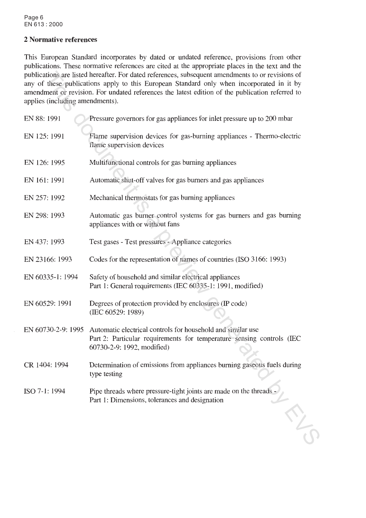Page 6 EN 613 : 2000

#### 2 Normative references

This European Standard incorporates by dated or undated reference, provisions from other publications. These normative references are cited at the appropriate places in the text and the

| publications are listed hereafter. For dated references, subsequent amendments to or revisions of<br>any of these publications apply to this European Standard only when incorporated in it by<br>amendment or revision. For undated references the latest edition of the publication referred to<br>applies (including amendments). |
|--------------------------------------------------------------------------------------------------------------------------------------------------------------------------------------------------------------------------------------------------------------------------------------------------------------------------------------|
| Pressure governors for gas appliances for inlet pressure up to 200 mbar                                                                                                                                                                                                                                                              |
| Flame supervision devices for gas-burning appliances - Thermo-electric<br>flame supervision devices                                                                                                                                                                                                                                  |
| Multifunctional controls for gas burning appliances                                                                                                                                                                                                                                                                                  |
| Automatic shut-off valves for gas burners and gas appliances                                                                                                                                                                                                                                                                         |
| Mechanical thermostats for gas burning appliances                                                                                                                                                                                                                                                                                    |
| Automatic gas burner control systems for gas burners and gas burning<br>appliances with or without fans                                                                                                                                                                                                                              |
| Test gases - Test pressures - Appliance categories                                                                                                                                                                                                                                                                                   |
| Codes for the representation of names of countries (ISO 3166: 1993)                                                                                                                                                                                                                                                                  |
| Safety of household and similar electrical appliances<br>Part 1: General requirements (IEC 60335-1: 1991, modified)                                                                                                                                                                                                                  |
| Degrees of protection provided by enclosures (IP code)<br>(IEC 60529: 1989)                                                                                                                                                                                                                                                          |
| EN 60730-2-9: 1995 Automatic electrical controls for household and similar use<br>Part 2: Particular requirements for temperature sensing controls (IEC<br>60730-2-9: 1992, modified)                                                                                                                                                |
| Determination of emissions from appliances burning gaseous fuels during<br>type testing                                                                                                                                                                                                                                              |
| Pipe threads where pressure-tight joints are made on the threads -<br>Part 1: Dimensions, tolerances and designation                                                                                                                                                                                                                 |
|                                                                                                                                                                                                                                                                                                                                      |